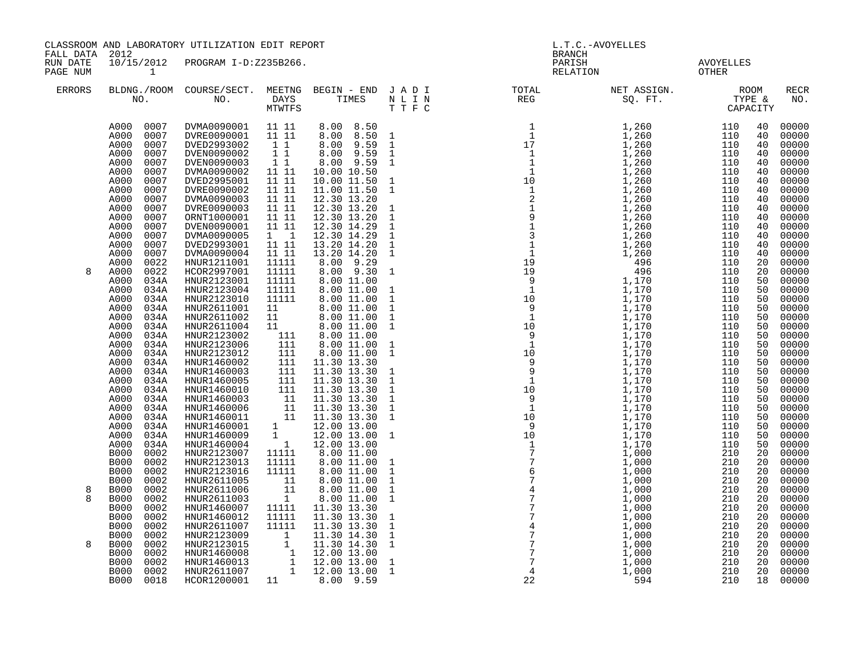| FALL DATA 2012       | CLASSROOM AND LABORATORY UTILIZATION EDIT REPORT                                                                                                                                                                                                                                                                                                                                                                                                          |                                                                                                                                                                                                                                                                                        |                                                                                                                                             |                                                                                                                                                                                                                                                               |                                                                                                                                                                                                                                                                             | L.T.C.-AVOYELLES<br><b>BRANCH</b>                                                                                                                                                                                                                                                                                                                                                                                         |  |  |                                                                                                                                                                                                                                                                                                                                                                      |
|----------------------|-----------------------------------------------------------------------------------------------------------------------------------------------------------------------------------------------------------------------------------------------------------------------------------------------------------------------------------------------------------------------------------------------------------------------------------------------------------|----------------------------------------------------------------------------------------------------------------------------------------------------------------------------------------------------------------------------------------------------------------------------------------|---------------------------------------------------------------------------------------------------------------------------------------------|---------------------------------------------------------------------------------------------------------------------------------------------------------------------------------------------------------------------------------------------------------------|-----------------------------------------------------------------------------------------------------------------------------------------------------------------------------------------------------------------------------------------------------------------------------|---------------------------------------------------------------------------------------------------------------------------------------------------------------------------------------------------------------------------------------------------------------------------------------------------------------------------------------------------------------------------------------------------------------------------|--|--|----------------------------------------------------------------------------------------------------------------------------------------------------------------------------------------------------------------------------------------------------------------------------------------------------------------------------------------------------------------------|
| RUN DATE<br>PAGE NUM | $\sim$ 1                                                                                                                                                                                                                                                                                                                                                                                                                                                  | 10/15/2012 PROGRAM I-D:Z235B266.                                                                                                                                                                                                                                                       |                                                                                                                                             |                                                                                                                                                                                                                                                               |                                                                                                                                                                                                                                                                             |                                                                                                                                                                                                                                                                                                                                                                                                                           |  |  |                                                                                                                                                                                                                                                                                                                                                                      |
| ERRORS               |                                                                                                                                                                                                                                                                                                                                                                                                                                                           |                                                                                                                                                                                                                                                                                        |                                                                                                                                             |                                                                                                                                                                                                                                                               |                                                                                                                                                                                                                                                                             |                                                                                                                                                                                                                                                                                                                                                                                                                           |  |  | RECR<br>NO.                                                                                                                                                                                                                                                                                                                                                          |
| 8                    | A000 0007<br>A000<br>0007<br>A000<br>0007<br>A000<br>0007<br>0007<br>A000<br>A000<br>0007<br>A000<br>0007<br>A000<br>0007<br>A000<br>0007<br>0007<br>A000<br>A000<br>0007<br>A000<br>0007<br>A000<br>0007<br>A000<br>0007<br>A000<br>0007<br>A000<br>0022<br>A000<br>0022<br>A000<br>034A<br>A000<br>034A<br>A000<br>034A<br>A000<br>034A<br>A000<br>034A<br>A000<br>034A<br>A000<br>034A                                                                 | DVMA0090001 11 11<br>DVRE0090001 11 11<br>DVED2993002<br>DVEN0090002<br>DVEN0090003<br>DVMA0090002<br>DVED2995001<br>DVRE0090002<br>DVMA0090003<br>DVRE0090003<br>ORNT1000001<br>DVEN0090001<br>DVMA0090005<br>DVED2993001<br>DVMA0090004<br>HNUR1211001<br>HCOR2997001<br>HNUR2123001 | 11<br>11<br>11<br>11 11<br>11 11<br>11 11<br>11 11<br>11 11<br>11 11<br>11 11<br>$1 \quad 1$<br>11 11<br>$11 11$<br>11111<br>11111<br>11111 | 8.00 8.50<br>8.00 8.50 1<br>8.00 9.59<br>8.00 9.59<br>8.00 9.59<br>10.00 10.50<br>10.00 11.50<br>11.00 11.50<br>12.30 13.20<br>12.30 13.20<br>12.30 13.20<br>12.30 14.29<br>12.30 14.29<br>13.20 14.20<br>13.20 14.20<br>8.00 9.29<br>8.00 9.30<br>8.00 11.00 | $\mathbf{1}$<br>$\mathbf 1$<br>$\mathbf{1}$<br>$\mathbf{1}$<br>$\mathbf{1}$<br>$\mathbf{1}$<br>$\mathbf{1}$<br>$\mathbf{1}$<br>$\mathbf{1}$<br>$\mathbf{1}$<br>$\mathbf{1}$<br>$\mathbf{1}$<br>$\mathbf{1}$<br>$\mathbf{1}$<br>$\mathbf{1}$<br>$\mathbf{1}$<br>$\mathbf{1}$ | $\begin{array}{cccc} \text{1.5 a} & \text{1.6 b} \\ \text{1.7 a} & \text{1.8 c} \\ \text{1.8 c} & \text{1.8 d} \\ \text{1.9 c} & \text{1.1 } \\ \text{1.1 } \\ \text{1.1 } \\ \text{1.2 } \\ \text{1.3 } \\ \text{1.4 } \\ \text{1.5 } \\ \text{1.6 } \\ \text{1.7 } \\ \text{1.8 } \\ \text{1.9 } \\ \text{1.1 } \\ \text{1.1 } \\ \text{1.1 } \\ \text{1.1 } \\ \text{1.1 } \\ \text{1.1 } \\ \text{1.1 } \\ \text{1.1$ |  |  | 00000<br>40<br>40<br>00000<br>00000<br>40<br>00000<br>40<br>00000<br>40<br>00000<br>40<br>00000<br>40<br>00000<br>40<br>00000<br>40<br>00000<br>40<br>00000<br>40<br>00000<br>40<br>00000<br>40<br>00000<br>40<br>40<br>00000<br>00000<br>20<br>00000<br>20<br>00000<br>50<br>00000<br>50<br>00000<br>50<br>00000<br>50<br>00000<br>50<br>50<br>00000<br>00000<br>50 |
| 8<br>8               | A000<br>034A<br>A000<br>034A<br>A000<br>034A<br>A000<br>034A<br>A000<br>034A<br>A000<br>034A<br>A000<br>034A<br>A000<br>034A<br>A000<br>034A<br>A000<br>034A<br>A000<br>034A<br>A000<br>034A<br><b>B000</b><br>0002<br><b>B000</b><br>0002<br><b>B000</b><br>0002<br><b>B000</b><br>0002<br><b>B000</b><br>0002<br><b>B000</b><br>0002<br><b>B000</b><br>0002<br><b>B000</b><br>0002<br><b>B000</b><br>0002<br><b>B000</b><br>0002<br><b>B000</b><br>0002 | HNUR2123013<br>HNUR2123016<br>HNUR2611005<br>HNUR2611006<br>HNUR2611003<br>HNUR1460007<br>HNUR1460012<br>HNUR2611007<br>HNUR2123009<br>HNUR2123015                                                                                                                                     | 11111<br>11111<br>$\begin{array}{c} 11 \\ 11 \\ 1 \end{array}$<br>11111<br>11111<br>11111                                                   | 8.00 11.00<br>8.00 11.00<br>8.00 11.00<br>8.00 11.00<br>8.00 11.00<br>11.30 13.30<br>11.30 13.30<br>11.30 13.30                                                                                                                                               | $\mathbf{1}$<br>$\mathbf{1}$<br>$\frac{1}{1}$<br>$\mathbf{1}$<br>$\mathbf{1}$<br>$\mathbf{1}$<br>$\mathbf{1}$<br>$\mathbf{1}$<br>$\mathbf{1}$<br>$\mathbf{1}$<br>$\mathbf{1}$<br>$1\,$<br>$\mathbf{1}$<br>$\mathbf{1}$<br>$\mathbf{1}$<br>$\mathbf{1}$<br>$\mathbf{1}$      |                                                                                                                                                                                                                                                                                                                                                                                                                           |  |  | 00000<br>50<br>00000<br>50<br>00000<br>50<br>00000<br>50<br>00000<br>50<br>50<br>00000<br>00000<br>50<br>50<br>00000<br>00000<br>50<br>00000<br>50<br>00000<br>50<br>50<br>00000<br>20<br>00000<br>00000<br>20<br>00000<br>20<br>20<br>00000<br>00000<br>20<br>00000<br>20<br>00000<br>20<br>00000<br>20<br>00000<br>20<br>00000<br>20<br>00000<br>20                |
|                      | <b>B000</b><br>0002<br><b>B000</b><br>0002<br><b>B000</b><br>0002<br>B000<br>0018                                                                                                                                                                                                                                                                                                                                                                         | HNUR1460008<br>HNUR1460013<br>HNUR2611007<br>HCOR1200001 11 8.00 9.59                                                                                                                                                                                                                  |                                                                                                                                             | $\begin{bmatrix} 11 & 11 & 30 & 14 & 30 \ 1 & 11 & 30 & 14 & 30 \ 1 & 12 & 00 & 13 & 00 \ 1 & 12 & 00 & 13 & 00 \ 1 & 12 & 00 & 13 & 00 \end{bmatrix}$                                                                                                        | $\mathbf 1$<br>$\mathbf{1}$                                                                                                                                                                                                                                                 |                                                                                                                                                                                                                                                                                                                                                                                                                           |  |  | 00000<br>20<br>20<br>00000<br>20<br>00000<br>00000<br>18                                                                                                                                                                                                                                                                                                             |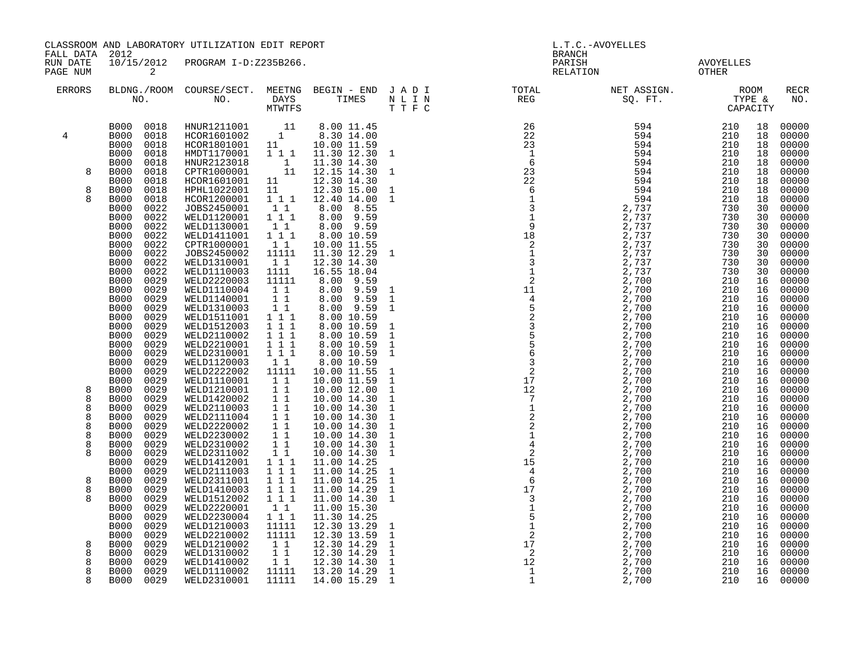|                             | CLASSROOM AND LABORATORY UTILIZATION EDIT REPORT<br>FALL DATA 2012                                                                     |                                                                                                                                                                                                                              |                                                                                                                           |                                                                                        | L.T.C.-AVOYELLES<br><b>BRANCH</b> |                                                                                                                                                                                                                                                                                                                                                                                                                                       |  |                    |                                                                                        |  |
|-----------------------------|----------------------------------------------------------------------------------------------------------------------------------------|------------------------------------------------------------------------------------------------------------------------------------------------------------------------------------------------------------------------------|---------------------------------------------------------------------------------------------------------------------------|----------------------------------------------------------------------------------------|-----------------------------------|---------------------------------------------------------------------------------------------------------------------------------------------------------------------------------------------------------------------------------------------------------------------------------------------------------------------------------------------------------------------------------------------------------------------------------------|--|--------------------|----------------------------------------------------------------------------------------|--|
| RUN DATE<br>PAGE NUM        | $\overline{\mathbf{c}}$                                                                                                                | 10/15/2012 PROGRAM I-D:Z235B266.                                                                                                                                                                                             |                                                                                                                           |                                                                                        |                                   | PARISH<br>RELATION                                                                                                                                                                                                                                                                                                                                                                                                                    |  | AVOYELLES<br>OTHER |                                                                                        |  |
| ERRORS                      |                                                                                                                                        |                                                                                                                                                                                                                              |                                                                                                                           |                                                                                        |                                   | BLDNG./ROOM COURSE/SECT. MEETNG BEGIN – END JADI TOTAL MET ASSIGN. MET ASSIGN. ROOM NO. DAYS TIMES NLIN REG SQ.FT. TYPE &                                                                                                                                                                                                                                                                                                             |  |                    | <b>RECR</b><br>NO.                                                                     |  |
| 4                           | B000 0018<br>B000 0018<br>B000<br>0018<br><b>B000</b><br>0018<br><b>B000</b><br>0018                                                   | $\begin{tabular}{lcccc} HNUR1211001 & & 11 & 8.00 & 11.45 \\ HCOR1601002 & & 1 & 8.30 & 14.00 \\ HCOR1801001 & & 11 & 10.00 & 11.59 \\ HMDT1170001 & & 1 & 1 & 11.30 & 12.30 \\ \end{tabular}$<br>HNUR2123018<br>CPTR1000001 |                                                                                                                           | 11.30 12.30 1<br>1 11.30 14.30<br>11 12.15 14.30 1                                     |                                   |                                                                                                                                                                                                                                                                                                                                                                                                                                       |  |                    | 00000<br>18<br>18<br>00000<br>00000<br>18<br>00000<br>18<br>00000<br>18                |  |
| 8<br>8<br>$\mathsf{R}$      | <b>B000</b><br>0018<br>B000<br>0018<br>B000<br>0018<br>B000<br>0018<br>0022<br>B000<br>B000<br>0022                                    | HCOR1601001 11<br>HPHL1022001 11<br>HCOR1200001<br>JOBS2450001<br>WELD1120001                                                                                                                                                | 111<br>$\begin{smallmatrix}1&1\\1&1&1\end{smallmatrix}$                                                                   | 12.30 14.30<br>12.30 15.00<br>12.40 14.00<br>8.00 8.55<br>8.00 9.59                    |                                   |                                                                                                                                                                                                                                                                                                                                                                                                                                       |  |                    | 00000<br>18<br>00000<br>18<br>00000<br>18<br>00000<br>18<br>00000<br>30<br>30<br>00000 |  |
|                             | <b>B000</b><br>0022<br><b>B000</b><br>0022<br><b>B000</b><br>0022<br><b>B000</b><br>0022<br>B000<br>0022<br><b>B000</b><br>0022        | WELD1130001<br>WELD1411001<br>CPTR1000001<br>JOBS2450002<br>WELD1310001<br>WELD1110003                                                                                                                                       | $\begin{smallmatrix}1&1\\1&1&1\end{smallmatrix}$<br>$1\quad1$<br>11111<br>11<br>1111                                      | 8.00 9.59<br>8.00 10.59<br>10.00 11.55<br>11.30 12.29 1<br>12.30 14.30<br>16.55 18.04  |                                   |                                                                                                                                                                                                                                                                                                                                                                                                                                       |  |                    | 00000<br>30<br>00000<br>30<br>00000<br>30<br>30<br>00000<br>00000<br>30<br>00000<br>30 |  |
|                             | B000<br>0029<br><b>B000</b><br>0029<br>0029<br>B000<br><b>B000</b><br>0029<br>B000<br>0029                                             | WELD2220003<br>WELD1110004<br>WELD1140001<br>WELD1310003<br>WELD1511001                                                                                                                                                      | 11111<br>$1\quad1$<br>$1\,1$<br>$\begin{smallmatrix} &\overline{1}&\overline{1}\ 1&1&1 \end{smallmatrix}$                 | 8.00 9.59<br>8.00 9.59 1<br>8.00 9.59<br>8.00 9.59<br>8.00 10.59                       |                                   |                                                                                                                                                                                                                                                                                                                                                                                                                                       |  |                    | 00000<br>16<br>00000<br>16<br>00000<br>16<br>00000<br>16<br>00000<br>16                |  |
|                             | B000<br>0029<br><b>B000</b><br>0029<br>B000<br>0029<br><b>B000</b><br>0029<br><b>B000</b><br>0029                                      | WELD1512003<br>WELD2110002<br>WELD2210001<br>WELD2310001<br>WELD1120003                                                                                                                                                      | 111<br>$1 1 1$<br>$\begin{smallmatrix}1&1&1\\1&1&1\end{smallmatrix}$<br>$1\quad1$                                         | 8.00 10.59<br>8.00 10.59<br>8.00 10.59<br>8.00 10.59<br>8.00 10.59                     |                                   |                                                                                                                                                                                                                                                                                                                                                                                                                                       |  |                    | 00000<br>16<br>00000<br>16<br>00000<br>16<br>00000<br>16<br>00000<br>16                |  |
| 8<br>8<br>8<br>8            | <b>B000</b><br>0029<br><b>B000</b><br>0029<br><b>B000</b><br>0029<br><b>B000</b><br>0029<br>0029<br><b>B000</b><br><b>B000</b><br>0029 | WELD2222002<br>WELD1110001<br>WELD1210001<br>WELD1420002<br>WELD2110003<br>WELD2111004                                                                                                                                       | 11111<br>11<br>11<br>$\begin{smallmatrix}1&1\\1&1\end{smallmatrix}$<br>11                                                 | 10.00 11.55<br>10.00 11.59<br>10.00 12.00<br>10.00 14.30<br>10.00 14.30<br>10.00 14.30 |                                   |                                                                                                                                                                                                                                                                                                                                                                                                                                       |  |                    | 00000<br>16<br>00000<br>16<br>00000<br>16<br>00000<br>16<br>00000<br>16<br>00000<br>16 |  |
| 8<br>8<br>8<br>$\mathsf{R}$ | B000<br>0029<br>0029<br><b>B000</b><br>0029<br><b>B000</b><br>B000<br>0029<br><b>B000</b><br>0029<br><b>B000</b><br>0029               | WELD2220002<br>WELD2230002<br>WELD2310002<br>WELD2311002<br>WELD1412001<br>WELD2111003                                                                                                                                       | $1\quad1$<br>$11$<br>11<br>11<br>$1\ 1\ 1$<br>$\overline{1}$ $\overline{1}$ $\overline{1}$                                | 10.00 14.30<br>10.00 14.30<br>10.00 14.30<br>10.00 14.30<br>11.00 14.25<br>11.00 14.25 |                                   |                                                                                                                                                                                                                                                                                                                                                                                                                                       |  |                    | 00000<br>16<br>00000<br>16<br>00000<br>16<br>16<br>00000<br>00000<br>16<br>00000<br>16 |  |
| 8<br>8<br>$\mathsf{R}$      | <b>B000</b><br>0029<br><b>B000</b><br>0029<br><b>B000</b><br>0029<br><b>B000</b><br>0029<br><b>B000</b><br>0029<br><b>B000</b><br>0029 | WELD2311001<br>WELD1410003<br>WELD1512002<br>WELD2220001<br>WELD2230004<br>WELD1210003                                                                                                                                       | 1 1 1<br>$\overline{1}$ $\overline{1}$ $\overline{1}$<br>111<br>$\begin{smallmatrix}1&1\\1&1&1\end{smallmatrix}$<br>11111 | 11.00 14.25<br>11.00 14.29<br>11.00 14.30<br>11.00 15.30<br>11.30 14.25<br>12.30 13.29 | $\overline{1}$                    |                                                                                                                                                                                                                                                                                                                                                                                                                                       |  |                    | 16<br>00000<br>00000<br>16<br>00000<br>16<br>00000<br>16<br>00000<br>16<br>00000<br>16 |  |
| 8<br>8<br>8<br>8<br>8       | B000<br>0029<br>0029<br><b>B000</b><br><b>B000</b><br>0029<br>0029<br><b>B000</b><br>0029<br><b>B000</b><br>B000 0029                  | WELD2210002<br>WELD1210002<br>WELD1310002<br>WELD1410002<br>WELD1110002<br>WELD2310001                                                                                                                                       | 11111<br>11<br>11<br>$\overline{1}$ $\overline{1}$<br>11111<br>11111                                                      | 12.30 13.59<br>12.30 14.29<br>12.30 14.29<br>12.30 14.30<br>13.20 14.29<br>14.00 15.29 | $\overline{1}$                    | $\begin{array}{cccccccc} \textbf{N} & \textbf{I} & \textbf{I} & \textbf{N} & \textbf{I} & \textbf{I} & \textbf{I} & \textbf{I} & \textbf{I} & \textbf{I} & \textbf{I} & \textbf{I} & \textbf{I} & \textbf{I} & \textbf{I} & \textbf{I} & \textbf{I} & \textbf{I} & \textbf{I} & \textbf{I} & \textbf{I} & \textbf{I} & \textbf{I} & \textbf{I} & \textbf{I} & \textbf{I} & \textbf{I} & \textbf{I} & \textbf{I} & \textbf{I} & \text$ |  |                    | 00000<br>16<br>00000<br>16<br>00000<br>16<br>16<br>00000<br>16<br>00000<br>16 00000    |  |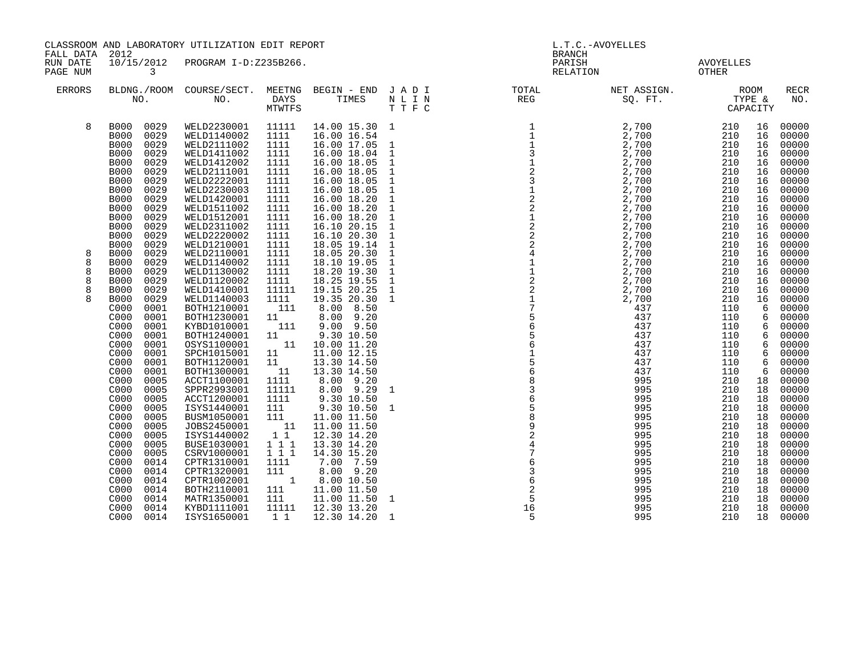| CLASSROOM AND LABORATORY UTILIZATION EDIT REPORT<br>FALL DATA 2012 |                                                                                                                                                                                                                                                                                                                                                                                                                                                                                                                                |                                                                                                                                                                                                                                                                                                                                                                                                                                                                                                                                                                                                                                                        |                                                                                                                                                                                                                                                                                                                                                                                                                      | <b>BRANCH</b>                                                                                                                                                   | L.T.C.-AVOYELLES                                                                                                                                                                                                                                                                                                                                                                                                                 |                                                                                                                                                                                                                                                                                                   |                                                                                                                                                 |                                                                                                                                                              |                                                                                                                                                                                                                                                          |
|--------------------------------------------------------------------|--------------------------------------------------------------------------------------------------------------------------------------------------------------------------------------------------------------------------------------------------------------------------------------------------------------------------------------------------------------------------------------------------------------------------------------------------------------------------------------------------------------------------------|--------------------------------------------------------------------------------------------------------------------------------------------------------------------------------------------------------------------------------------------------------------------------------------------------------------------------------------------------------------------------------------------------------------------------------------------------------------------------------------------------------------------------------------------------------------------------------------------------------------------------------------------------------|----------------------------------------------------------------------------------------------------------------------------------------------------------------------------------------------------------------------------------------------------------------------------------------------------------------------------------------------------------------------------------------------------------------------|-----------------------------------------------------------------------------------------------------------------------------------------------------------------|----------------------------------------------------------------------------------------------------------------------------------------------------------------------------------------------------------------------------------------------------------------------------------------------------------------------------------------------------------------------------------------------------------------------------------|---------------------------------------------------------------------------------------------------------------------------------------------------------------------------------------------------------------------------------------------------------------------------------------------------|-------------------------------------------------------------------------------------------------------------------------------------------------|--------------------------------------------------------------------------------------------------------------------------------------------------------------|----------------------------------------------------------------------------------------------------------------------------------------------------------------------------------------------------------------------------------------------------------|
| RUN DATE<br>PAGE NUM                                               | 3                                                                                                                                                                                                                                                                                                                                                                                                                                                                                                                              | 10/15/2012 PROGRAM I-D:Z235B266.                                                                                                                                                                                                                                                                                                                                                                                                                                                                                                                                                                                                                       |                                                                                                                                                                                                                                                                                                                                                                                                                      |                                                                                                                                                                 | PARISH<br>RELATION                                                                                                                                                                                                                                                                                                                                                                                                               |                                                                                                                                                                                                                                                                                                   | AVOYELLES<br>OTHER                                                                                                                              |                                                                                                                                                              |                                                                                                                                                                                                                                                          |
| ERRORS                                                             |                                                                                                                                                                                                                                                                                                                                                                                                                                                                                                                                | BLDNG./ROOM COURSE/SECT. MEETNG BEGIN – END JADI TOTAL TOTAL NO. NO. DAYS TIMES NLIN REG TTFC                                                                                                                                                                                                                                                                                                                                                                                                                                                                                                                                                          |                                                                                                                                                                                                                                                                                                                                                                                                                      |                                                                                                                                                                 |                                                                                                                                                                                                                                                                                                                                                                                                                                  | NET ASSIGN.<br>SQ. FT. TYPE &<br>CAPACITY                                                                                                                                                                                                                                                         |                                                                                                                                                 |                                                                                                                                                              | <b>RECR</b><br>NO.                                                                                                                                                                                                                                       |
| 8                                                                  | 0029<br><b>B000</b><br>0029<br><b>B000</b><br>0029<br><b>B000</b><br><b>B000</b><br>0029<br><b>B000</b><br>0029<br><b>B000</b><br>0029<br><b>B000</b><br>0029<br>0029<br><b>B000</b><br><b>B000</b><br>0029<br>0029<br><b>B000</b><br><b>B000</b><br>0029<br><b>B000</b><br>0029<br><b>B000</b><br>0029<br>0029<br><b>B000</b>                                                                                                                                                                                                 | WELD2230001<br>11111<br>WELD1140002<br>1111<br>WELD2111002<br>1111<br>WELD1411002<br>1111<br>WELD1412002<br>1111<br>1111<br>WELD2111001<br>WELD2222001<br>1111<br>WELD2230003<br>1111<br>WELD1420001<br>1111<br>WELD1511002<br>1111<br>WELD1512001<br>1111<br>WELD2311002<br>1111<br>WELD2220002<br>1111<br>WELD1210001<br>1111                                                                                                                                                                                                                                                                                                                        | 14.00 15.30 1<br>16.00 16.54<br>16.00 17.05<br>16.00 18.04<br>16.00 18.05<br>16.00 18.05<br>16.00 18.05<br>16.00 18.05<br>16.00 18.20<br>16.00 18.20<br>16.00 18.20<br>16.10 20.15<br>16.10 20.30<br>18.05 19.14                                                                                                                                                                                                     | $\mathbf{1}$<br>$\mathbf{1}$<br>$\mathbf{1}$<br>$\mathbf 1$<br>$\mathbf 1$<br>$\frac{1}{1}$<br>$\mathbf{1}$<br>$\mathbf{1}$<br>$\,1\,$<br>$\mathbf{1}$<br>$1\,$ |                                                                                                                                                                                                                                                                                                                                                                                                                                  | $\begin{array}{cccc} 2\, ,700 & 210 & 210 \\ 2\, ,700 & 210 & 210 \\ 2\, ,700 & 210 & 210 \\ 2\, ,700 & 210 & 210 \\ 2\, ,700 & 210 & 210 \\ 2\, ,700 & 210 & 210 \\ 2\, ,700 & 210 & 210 \\ 2\, ,700 & 210 & 210 \\ 2\, ,700 & 210 & 210 \\ 2\, ,700 & 210 & 210 \\ 2\, ,700 & 210 & 210 \\ 2\,$ |                                                                                                                                                 | 16<br>16<br>16<br>16<br>16<br>16<br>16<br>16<br>16<br>16<br>16<br>16<br>16<br>16                                                                             | 00000<br>00000<br>00000<br>00000<br>00000<br>00000<br>00000<br>00000<br>00000<br>00000<br>00000<br>00000<br>00000<br>00000                                                                                                                               |
| 8<br>8<br>8<br>8<br>8<br>8                                         | <b>B000</b><br>0029<br>0029<br><b>B000</b><br>0029<br><b>B000</b><br><b>B000</b><br>0029<br>0029<br><b>B000</b><br>0029<br><b>B000</b><br>C000<br>0001<br>C000<br>0001<br>C000<br>0001<br>C000<br>0001<br>0001<br>C000<br>0001<br>C <sub>000</sub><br>C000<br>0001<br>C000<br>0001<br>C000<br>0005<br>0005<br>C000<br>C <sub>000</sub><br>0005<br>C000<br>0005<br>C000<br>0005<br>C000<br>0005<br>0005<br>C000<br>C000<br>0005<br>C000<br>0005<br>0014<br>C000<br>C000<br>0014<br>C000<br>0014<br>0014<br>C000<br>C000<br>0014 | WELD2110001<br>1111<br>1111<br>WELD1140002<br>WELD1130002<br>1111<br>WELD1120002<br>1111<br>WELD1410001<br>11111<br>WELD1140003<br>1111<br>111<br>BOTH1210001<br>BOTH1230001<br>11<br>111<br>KYBD1010001<br>BOTH1240001<br>11<br>11<br>OSYS1100001<br>SPCH1015001<br>11<br>BOTH1120001<br>11<br>11<br>BOTH1300001<br>ACCT1100001<br>1111<br>SPPR2993001<br>11111<br>ACCT1200001<br>1111<br>ISYS1440001<br>111<br>BUSM1050001<br>111<br>JOBS2450001<br>11<br>1 1<br>ISYS1440002<br>1 1 1<br>BUSE1030001<br>CSRV1000001<br>111<br>CPTR1310001<br>1111<br>CPTR1320001<br>111<br>$\overline{1}$<br>CPTR1002001<br>111<br>BOTH2110001<br>MATR1350001<br>111 | 18.05 20.30<br>18.10 19.05<br>18.20 19.30<br>18.25 19.55<br>19.15 20.25<br>19.35 20.30<br>8.00 8.50<br>8.00 9.20<br>$9.00$ $9.50$<br>9.30 10.50<br>10.00 11.20<br>11.00 12.15<br>13.30 14.50<br>13.30 14.50<br>8.00 9.20<br>$8.00$ 9.29<br>9.30 10.50<br>9.30 10.50<br>11.00 11.50<br>11.00 11.50<br>12.30 14.20<br>13.30 14.20<br>14.30 15.20<br>7.00 7.59<br>8.00 9.20<br>8.00 10.50<br>11.00 11.50<br>11.00 11.50 | $\mathbf 1$<br>$\mathbf{1}$<br>$\mathbf{1}$<br>$\mathbf{1}$<br>$\mathbf{1}$<br>$\mathbf{1}$<br>1<br>$\mathbf{1}$<br>$\mathbf{1}$                                | $\begin{array}{cccccccccccc} \text{L} & \text{R} & \text{R} & \text{R} & \text{R} & \text{R} & \text{R} & \text{R} & \text{R} & \text{R} & \text{R} & \text{R} & \text{R} & \text{R} & \text{R} & \text{R} & \text{R} & \text{R} & \text{R} & \text{R} & \text{R} & \text{R} & \text{R} & \text{R} & \text{R} & \text{R} & \text{R} & \text{R} & \text{R} & \text{R} & \text{R} & \text{R} & \text{R} & \text{R} & \text{R} & \$ | 437<br>437<br>437<br>437<br>437<br>437<br>437<br>995<br>995<br>995<br>995<br>995<br>995<br>995<br>995<br>995<br>995<br>995<br>995<br>995<br>995                                                                                                                                                   | 110<br>110<br>110<br>110<br>110<br>110<br>110<br>210<br>210<br>210<br>210<br>210<br>210<br>210<br>210<br>210<br>210<br>210<br>210<br>210<br>210 | 16<br>16<br>16<br>16<br>16<br>16<br>6<br>6<br>6<br>6<br>6<br>6<br>6<br>6<br>18<br>18<br>18<br>18<br>18<br>18<br>18<br>18<br>18<br>18<br>18<br>18<br>18<br>18 | 00000<br>00000<br>00000<br>00000<br>00000<br>00000<br>00000<br>00000<br>00000<br>00000<br>00000<br>00000<br>00000<br>00000<br>00000<br>00000<br>00000<br>00000<br>00000<br>00000<br>00000<br>00000<br>00000<br>00000<br>00000<br>00000<br>00000<br>00000 |
|                                                                    | 0014<br>C000<br>C000<br>0014                                                                                                                                                                                                                                                                                                                                                                                                                                                                                                   | KYBD1111001<br>11111<br>ISYS1650001                                                                                                                                                                                                                                                                                                                                                                                                                                                                                                                                                                                                                    | 12.30 13.20<br>1 1 1 1 2 30 14 20 1                                                                                                                                                                                                                                                                                                                                                                                  |                                                                                                                                                                 |                                                                                                                                                                                                                                                                                                                                                                                                                                  | 995<br>995                                                                                                                                                                                                                                                                                        | 210<br>210                                                                                                                                      | 18<br>18                                                                                                                                                     | 00000<br>00000                                                                                                                                                                                                                                           |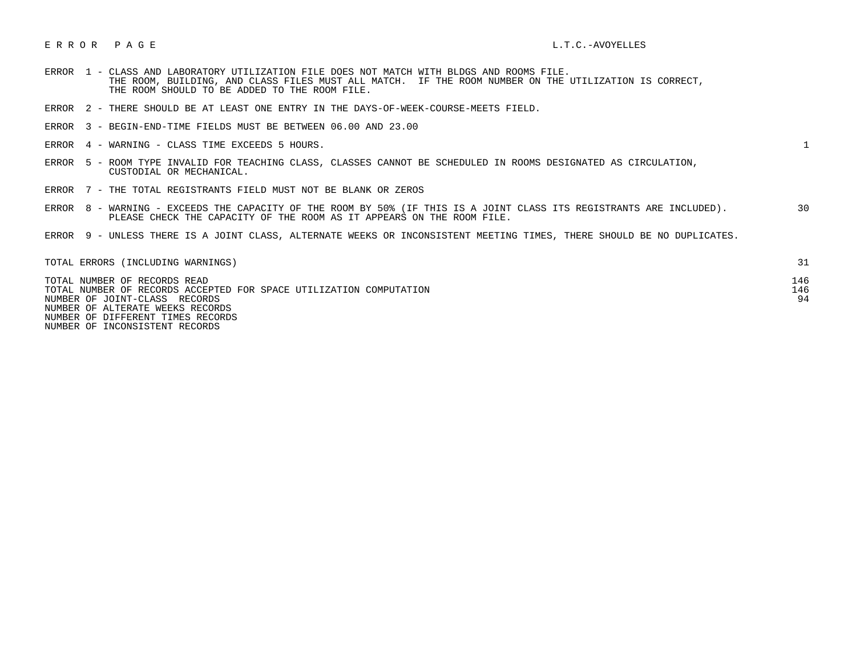## E R R O R P A G E L.T.C.-AVOYELLES

- ERROR 1 CLASS AND LABORATORY UTILIZATION FILE DOES NOT MATCH WITH BLDGS AND ROOMS FILE. THE ROOM, BUILDING, AND CLASS FILES MUST ALL MATCH. IF THE ROOM NUMBER ON THE UTILIZATION IS CORRECT, THE ROOM SHOULD TO BE ADDED TO THE ROOM FILE.
- ERROR 2 THERE SHOULD BE AT LEAST ONE ENTRY IN THE DAYS-OF-WEEK-COURSE-MEETS FIELD.
- ERROR 3 BEGIN-END-TIME FIELDS MUST BE BETWEEN 06.00 AND 23.00
- ERROR 4 WARNING CLASS TIME EXCEEDS 5 HOURS. 1

- ERROR 5 ROOM TYPE INVALID FOR TEACHING CLASS, CLASSES CANNOT BE SCHEDULED IN ROOMS DESIGNATED AS CIRCULATION, CUSTODIAL OR MECHANICAL.
- ERROR 7 THE TOTAL REGISTRANTS FIELD MUST NOT BE BLANK OR ZEROS
- ERROR 8 WARNING EXCEEDS THE CAPACITY OF THE ROOM BY 50% (IF THIS IS A JOINT CLASS ITS REGISTRANTS ARE INCLUDED). 30 PLEASE CHECK THE CAPACITY OF THE ROOM AS IT APPEARS ON THE ROOM FILE.
- ERROR 9 UNLESS THERE IS A JOINT CLASS, ALTERNATE WEEKS OR INCONSISTENT MEETING TIMES, THERE SHOULD BE NO DUPLICATES.

| TOTAL ERRORS (INCLUDING WARNINGS)                                  |     |
|--------------------------------------------------------------------|-----|
| TOTAL NUMBER OF RECORDS READ                                       | 146 |
| TOTAL NUMBER OF RECORDS ACCEPTED FOR SPACE UTILIZATION COMPUTATION | 146 |
| NUMBER OF JOINT-CLASS RECORDS                                      | 94  |
| NUMBER OF ALTERATE WEEKS RECORDS                                   |     |
| NUMBER OF DIFFERENT TIMES RECORDS                                  |     |

NUMBER OF INCONSISTENT RECORDS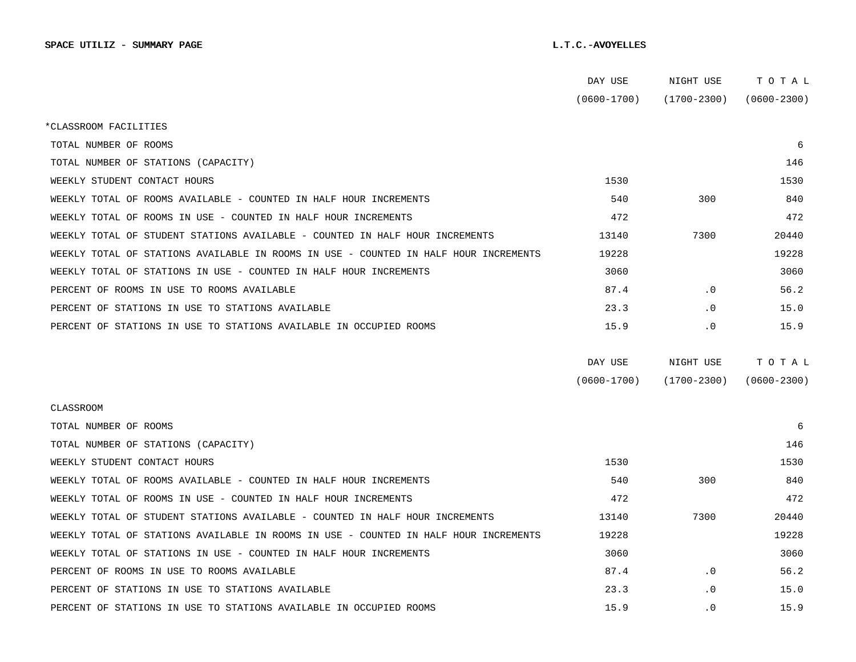|                                                                                      | DAY USE         | NIGHT USE       | TOTAL           |
|--------------------------------------------------------------------------------------|-----------------|-----------------|-----------------|
|                                                                                      | $(0600 - 1700)$ | $(1700 - 2300)$ | $(0600 - 2300)$ |
| *CLASSROOM FACILITIES                                                                |                 |                 |                 |
| TOTAL NUMBER OF ROOMS                                                                |                 |                 | 6               |
| TOTAL NUMBER OF STATIONS (CAPACITY)                                                  |                 |                 | 146             |
| WEEKLY STUDENT CONTACT HOURS                                                         | 1530            |                 | 1530            |
| WEEKLY TOTAL OF ROOMS AVAILABLE - COUNTED IN HALF HOUR INCREMENTS                    | 540             | 300             | 840             |
| WEEKLY TOTAL OF ROOMS IN USE - COUNTED IN HALF HOUR INCREMENTS                       | 472             |                 | 472             |
| WEEKLY TOTAL OF STUDENT STATIONS AVAILABLE - COUNTED IN HALF HOUR INCREMENTS         | 13140           | 7300            | 20440           |
| WEEKLY TOTAL OF STATIONS AVAILABLE IN ROOMS IN USE - COUNTED IN HALF HOUR INCREMENTS | 19228           |                 | 19228           |
| WEEKLY TOTAL OF STATIONS IN USE - COUNTED IN HALF HOUR INCREMENTS                    | 3060            |                 | 3060            |
| PERCENT OF ROOMS IN USE TO ROOMS AVAILABLE                                           | 87.4            | $\cdot$ 0       | 56.2            |
| PERCENT OF STATIONS IN USE TO STATIONS AVAILABLE                                     | 23.3            | $\cdot$ 0       | 15.0            |
| PERCENT OF STATIONS IN USE TO STATIONS AVAILABLE IN OCCUPIED ROOMS                   | 15.9            | $\cdot$ 0       | 15.9            |
|                                                                                      |                 |                 |                 |
|                                                                                      | DAY USE         | NIGHT USE       | TOTAL           |
|                                                                                      | $(0600 - 1700)$ | $(1700 - 2300)$ | $(0600 - 2300)$ |
| <b>CLASSROOM</b>                                                                     |                 |                 |                 |
| TOTAL NUMBER OF ROOMS                                                                |                 |                 | 6               |
| TOTAL NUMBER OF STATIONS (CAPACITY)                                                  |                 |                 | 146             |
| WEEKLY STUDENT CONTACT HOURS                                                         | 1530            |                 | 1530            |
| WEEKLY TOTAL OF ROOMS AVAILABLE - COUNTED IN HALF HOUR INCREMENTS                    | 540             | 300             | 840             |
| WEEKLY TOTAL OF ROOMS IN USE - COUNTED IN HALF HOUR INCREMENTS                       | 472             |                 | 472             |
| WEEKLY TOTAL OF STUDENT STATIONS AVAILABLE - COUNTED IN HALF HOUR INCREMENTS         | 13140           | 7300            | 20440           |
| WEEKLY TOTAL OF STATIONS AVAILABLE IN ROOMS IN USE - COUNTED IN HALF HOUR INCREMENTS | 19228           |                 | 19228           |
| WEEKLY TOTAL OF STATIONS IN USE - COUNTED IN HALF HOUR INCREMENTS                    | 3060            |                 | 3060            |
| PERCENT OF ROOMS IN USE TO ROOMS AVAILABLE                                           | 87.4            | $\cdot$ 0       | 56.2            |
| PERCENT OF STATIONS IN USE TO STATIONS AVAILABLE                                     | 23.3            | $\cdot$ 0       | 15.0            |
|                                                                                      |                 |                 |                 |